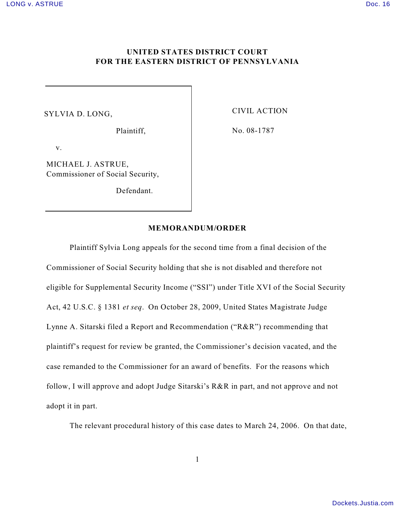## **UNITED STATES DISTRICT COURT FOR THE EASTERN DISTRICT OF PENNSYLVANIA**

## SYLVIA D. LONG,

Plaintiff,

CIVIL ACTION

No. 08-1787

v.

MICHAEL J. ASTRUE, Commissioner of Social Security,

Defendant.

## **MEMORANDUM/ORDER**

Plaintiff Sylvia Long appeals for the second time from a final decision of the Commissioner of Social Security holding that she is not disabled and therefore not eligible for Supplemental Security Income ("SSI") under Title XVI of the Social Security Act, 42 U.S.C. § 1381 *et seq*. On October 28, 2009, United States Magistrate Judge Lynne A. Sitarski filed a Report and Recommendation ("R&R") recommending that plaintiff's request for review be granted, the Commissioner's decision vacated, and the case remanded to the Commissioner for an award of benefits. For the reasons which follow, I will approve and adopt Judge Sitarski's R&R in part, and not approve and not adopt it in part.

The relevant procedural history of this case dates to March 24, 2006. On that date,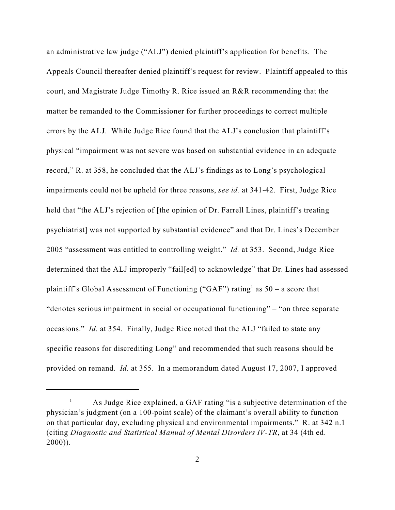an administrative law judge ("ALJ") denied plaintiff's application for benefits. The Appeals Council thereafter denied plaintiff's request for review. Plaintiff appealed to this court, and Magistrate Judge Timothy R. Rice issued an R&R recommending that the matter be remanded to the Commissioner for further proceedings to correct multiple errors by the ALJ. While Judge Rice found that the ALJ's conclusion that plaintiff's physical "impairment was not severe was based on substantial evidence in an adequate record," R. at 358, he concluded that the ALJ's findings as to Long's psychological impairments could not be upheld for three reasons, *see id.* at 341-42. First, Judge Rice held that "the ALJ's rejection of [the opinion of Dr. Farrell Lines, plaintiff's treating psychiatrist] was not supported by substantial evidence" and that Dr. Lines's December 2005 "assessment was entitled to controlling weight." *Id.* at 353. Second, Judge Rice determined that the ALJ improperly "fail[ed] to acknowledge" that Dr. Lines had assessed plaintiff's Global Assessment of Functioning ("GAF") rating<sup>1</sup> as  $50 - a$  score that "denotes serious impairment in social or occupational functioning" – "on three separate occasions." *Id.* at 354. Finally, Judge Rice noted that the ALJ "failed to state any specific reasons for discrediting Long" and recommended that such reasons should be provided on remand. *Id.* at 355. In a memorandum dated August 17, 2007, I approved

 $\mu$  As Judge Rice explained, a GAF rating "is a subjective determination of the physician's judgment (on a 100-point scale) of the claimant's overall ability to function on that particular day, excluding physical and environmental impairments." R. at 342 n.1 (citing *Diagnostic and Statistical Manual of Mental Disorders IV-TR*, at 34 (4th ed. 2000)).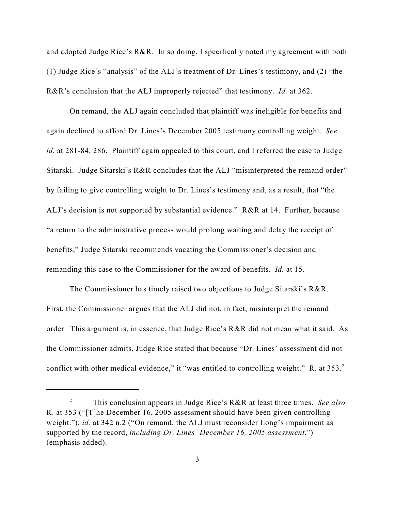and adopted Judge Rice's R&R. In so doing, I specifically noted my agreement with both (1) Judge Rice's "analysis" of the ALJ's treatment of Dr. Lines's testimony, and (2) "the R&R's conclusion that the ALJ improperly rejected" that testimony. *Id.* at 362.

On remand, the ALJ again concluded that plaintiff was ineligible for benefits and again declined to afford Dr. Lines's December 2005 testimony controlling weight. *See id.* at 281-84, 286. Plaintiff again appealed to this court, and I referred the case to Judge Sitarski. Judge Sitarski's R&R concludes that the ALJ "misinterpreted the remand order" by failing to give controlling weight to Dr. Lines's testimony and, as a result, that "the ALJ's decision is not supported by substantial evidence." R&R at 14. Further, because "a return to the administrative process would prolong waiting and delay the receipt of benefits," Judge Sitarski recommends vacating the Commissioner's decision and remanding this case to the Commissioner for the award of benefits. *Id.* at 15.

The Commissioner has timely raised two objections to Judge Sitarski's R&R. First, the Commissioner argues that the ALJ did not, in fact, misinterpret the remand order. This argument is, in essence, that Judge Rice's R&R did not mean what it said. As the Commissioner admits, Judge Rice stated that because "Dr. Lines' assessment did not conflict with other medical evidence," it "was entitled to controlling weight." R. at 353.<sup>2</sup>

This conclusion appears in Judge Rice's R&R at least three times. *See also* <sup>2</sup> R. at 353 ("[T]he December 16, 2005 assessment should have been given controlling weight."); *id.* at 342 n.2 ("On remand, the ALJ must reconsider Long's impairment as supported by the record, *including Dr. Lines' December 16, 2005 assessment*.") (emphasis added).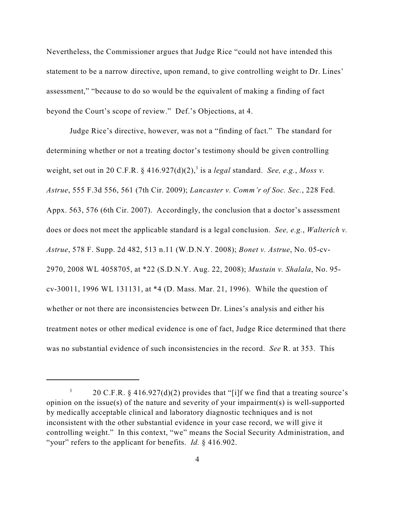Nevertheless, the Commissioner argues that Judge Rice "could not have intended this statement to be a narrow directive, upon remand, to give controlling weight to Dr. Lines' assessment," "because to do so would be the equivalent of making a finding of fact beyond the Court's scope of review." Def.'s Objections, at 4.

Judge Rice's directive, however, was not a "finding of fact." The standard for determining whether or not a treating doctor's testimony should be given controlling weight, set out in 20 C.F.R.  $\S$  416.927(d)(2),<sup>3</sup> is a *legal* standard. *See, e.g., Moss v. Astrue*, 555 F.3d 556, 561 (7th Cir. 2009); *Lancaster v. Comm'r of Soc. Sec.*, 228 Fed. Appx. 563, 576 (6th Cir. 2007). Accordingly, the conclusion that a doctor's assessment does or does not meet the applicable standard is a legal conclusion. *See, e.g.*, *Walterich v. Astrue*, 578 F. Supp. 2d 482, 513 n.11 (W.D.N.Y. 2008); *Bonet v. Astrue*, No. 05-cv-2970, 2008 WL 4058705, at \*22 (S.D.N.Y. Aug. 22, 2008); *Mustain v. Shalala*, No. 95 cv-30011, 1996 WL 131131, at \*4 (D. Mass. Mar. 21, 1996). While the question of whether or not there are inconsistencies between Dr. Lines's analysis and either his treatment notes or other medical evidence is one of fact, Judge Rice determined that there was no substantial evidence of such inconsistencies in the record. *See* R. at 353. This

<sup>&</sup>lt;sup>3</sup> 20 C.F.R. § 416.927(d)(2) provides that "[i]f we find that a treating source's opinion on the issue(s) of the nature and severity of your impairment(s) is well-supported by medically acceptable clinical and laboratory diagnostic techniques and is not inconsistent with the other substantial evidence in your case record, we will give it controlling weight." In this context, "we" means the Social Security Administration, and "your" refers to the applicant for benefits. *Id.* § 416.902.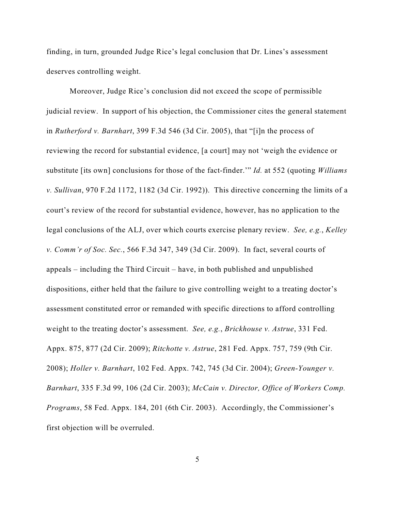finding, in turn, grounded Judge Rice's legal conclusion that Dr. Lines's assessment deserves controlling weight.

Moreover, Judge Rice's conclusion did not exceed the scope of permissible judicial review. In support of his objection, the Commissioner cites the general statement in *Rutherford v. Barnhart*, 399 F.3d 546 (3d Cir. 2005), that "[i]n the process of reviewing the record for substantial evidence, [a court] may not 'weigh the evidence or substitute [its own] conclusions for those of the fact-finder.'" *Id.* at 552 (quoting *Williams v. Sullivan*, 970 F.2d 1172, 1182 (3d Cir. 1992)). This directive concerning the limits of a court's review of the record for substantial evidence, however, has no application to the legal conclusions of the ALJ, over which courts exercise plenary review. *See, e.g.*, *Kelley v. Comm'r of Soc. Sec.*, 566 F.3d 347, 349 (3d Cir. 2009). In fact, several courts of appeals – including the Third Circuit – have, in both published and unpublished dispositions, either held that the failure to give controlling weight to a treating doctor's assessment constituted error or remanded with specific directions to afford controlling weight to the treating doctor's assessment. *See, e.g.*, *Brickhouse v. Astrue*, 331 Fed. Appx. 875, 877 (2d Cir. 2009); *Ritchotte v. Astrue*, 281 Fed. Appx. 757, 759 (9th Cir. 2008); *Holler v. Barnhart*, 102 Fed. Appx. 742, 745 (3d Cir. 2004); *Green-Younger v. Barnhart*, 335 F.3d 99, 106 (2d Cir. 2003); *McCain v. Director, Office of Workers Comp. Programs*, 58 Fed. Appx. 184, 201 (6th Cir. 2003). Accordingly, the Commissioner's first objection will be overruled.

5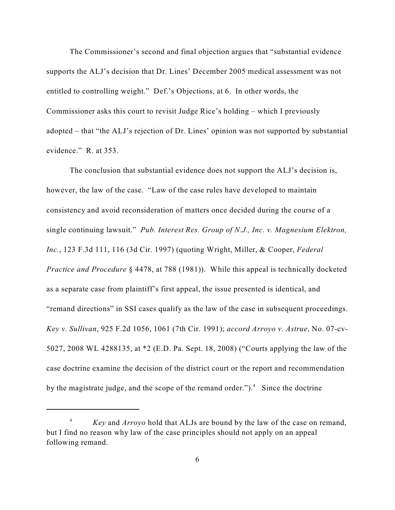The Commissioner's second and final objection argues that "substantial evidence supports the ALJ's decision that Dr. Lines' December 2005 medical assessment was not entitled to controlling weight." Def.'s Objections, at 6. In other words, the Commissioner asks this court to revisit Judge Rice's holding – which I previously adopted – that "the ALJ's rejection of Dr. Lines' opinion was not supported by substantial evidence." R. at 353.

The conclusion that substantial evidence does not support the ALJ's decision is, however, the law of the case. "Law of the case rules have developed to maintain consistency and avoid reconsideration of matters once decided during the course of a single continuing lawsuit." *Pub. Interest Res. Group of N.J., Inc. v. Magnesium Elektron, Inc.*, 123 F.3d 111, 116 (3d Cir. 1997) (quoting Wright, Miller, & Cooper, *Federal Practice and Procedure* § 4478, at 788 (1981)). While this appeal is technically docketed as a separate case from plaintiff's first appeal, the issue presented is identical, and "remand directions" in SSI cases qualify as the law of the case in subsequent proceedings. *Key v. Sullivan*, 925 F.2d 1056, 1061 (7th Cir. 1991); *accord Arroyo v. Astrue*, No. 07-cv-5027, 2008 WL 4288135, at \*2 (E.D. Pa. Sept. 18, 2008) ("Courts applying the law of the case doctrine examine the decision of the district court or the report and recommendation by the magistrate judge, and the scope of the remand order." $)$ .<sup>4</sup> Since the doctrine

*Key* and *Arroyo* hold that ALJs are bound by the law of the case on remand, but I find no reason why law of the case principles should not apply on an appeal following remand.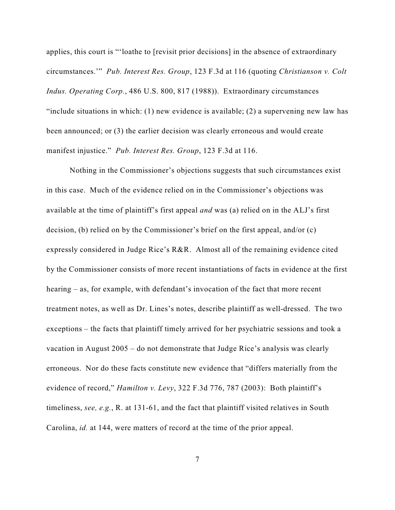applies, this court is "'loathe to [revisit prior decisions] in the absence of extraordinary circumstances.'" *Pub. Interest Res. Group*, 123 F.3d at 116 (quoting *Christianson v. Colt Indus. Operating Corp.*, 486 U.S. 800, 817 (1988)). Extraordinary circumstances "include situations in which: (1) new evidence is available; (2) a supervening new law has been announced; or (3) the earlier decision was clearly erroneous and would create manifest injustice." *Pub. Interest Res. Group*, 123 F.3d at 116.

Nothing in the Commissioner's objections suggests that such circumstances exist in this case. Much of the evidence relied on in the Commissioner's objections was available at the time of plaintiff's first appeal *and* was (a) relied on in the ALJ's first decision, (b) relied on by the Commissioner's brief on the first appeal, and/or (c) expressly considered in Judge Rice's R&R. Almost all of the remaining evidence cited by the Commissioner consists of more recent instantiations of facts in evidence at the first hearing – as, for example, with defendant's invocation of the fact that more recent treatment notes, as well as Dr. Lines's notes, describe plaintiff as well-dressed. The two exceptions – the facts that plaintiff timely arrived for her psychiatric sessions and took a vacation in August 2005 – do not demonstrate that Judge Rice's analysis was clearly erroneous. Nor do these facts constitute new evidence that "differs materially from the evidence of record," *Hamilton v. Levy*, 322 F.3d 776, 787 (2003): Both plaintiff's timeliness, *see, e.g.*, R. at 131-61, and the fact that plaintiff visited relatives in South Carolina, *id.* at 144, were matters of record at the time of the prior appeal.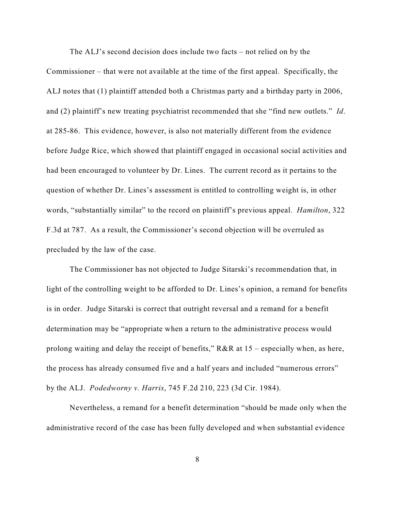The ALJ's second decision does include two facts – not relied on by the Commissioner – that were not available at the time of the first appeal. Specifically, the ALJ notes that (1) plaintiff attended both a Christmas party and a birthday party in 2006, and (2) plaintiff's new treating psychiatrist recommended that she "find new outlets." *Id*. at 285-86. This evidence, however, is also not materially different from the evidence before Judge Rice, which showed that plaintiff engaged in occasional social activities and had been encouraged to volunteer by Dr. Lines. The current record as it pertains to the question of whether Dr. Lines's assessment is entitled to controlling weight is, in other words, "substantially similar" to the record on plaintiff's previous appeal. *Hamilton*, 322 F.3d at 787. As a result, the Commissioner's second objection will be overruled as precluded by the law of the case.

The Commissioner has not objected to Judge Sitarski's recommendation that, in light of the controlling weight to be afforded to Dr. Lines's opinion, a remand for benefits is in order. Judge Sitarski is correct that outright reversal and a remand for a benefit determination may be "appropriate when a return to the administrative process would prolong waiting and delay the receipt of benefits,"  $R&R$  at  $15$  – especially when, as here, the process has already consumed five and a half years and included "numerous errors" by the ALJ. *Podedworny v. Harris*, 745 F.2d 210, 223 (3d Cir. 1984).

Nevertheless, a remand for a benefit determination "should be made only when the administrative record of the case has been fully developed and when substantial evidence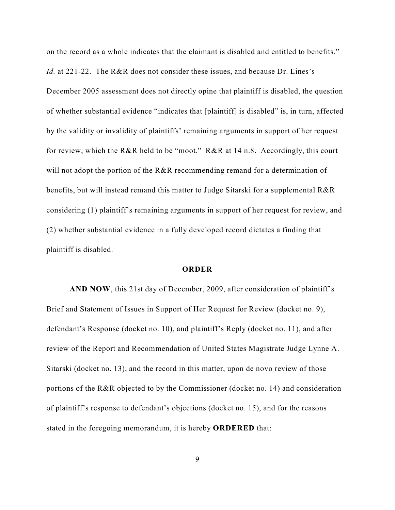on the record as a whole indicates that the claimant is disabled and entitled to benefits." *Id.* at 221-22. The R&R does not consider these issues, and because Dr. Lines's December 2005 assessment does not directly opine that plaintiff is disabled, the question of whether substantial evidence "indicates that [plaintiff] is disabled" is, in turn, affected by the validity or invalidity of plaintiffs' remaining arguments in support of her request for review, which the R&R held to be "moot." R&R at 14 n.8. Accordingly, this court will not adopt the portion of the R&R recommending remand for a determination of benefits, but will instead remand this matter to Judge Sitarski for a supplemental R&R considering (1) plaintiff's remaining arguments in support of her request for review, and (2) whether substantial evidence in a fully developed record dictates a finding that plaintiff is disabled.

## **ORDER**

**AND NOW**, this 21st day of December, 2009, after consideration of plaintiff's Brief and Statement of Issues in Support of Her Request for Review (docket no. 9), defendant's Response (docket no. 10), and plaintiff's Reply (docket no. 11), and after review of the Report and Recommendation of United States Magistrate Judge Lynne A. Sitarski (docket no. 13), and the record in this matter, upon de novo review of those portions of the R&R objected to by the Commissioner (docket no. 14) and consideration of plaintiff's response to defendant's objections (docket no. 15), and for the reasons stated in the foregoing memorandum, it is hereby **ORDERED** that:

9